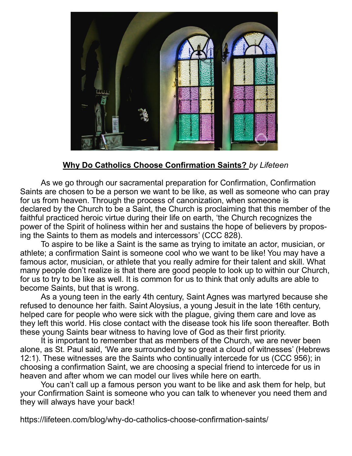

## **Why Do Catholics Choose Confirmation Saints?** *by Lifeteen*

As we go through our sacramental preparation for Confirmation, Confirmation Saints are chosen to be a person we want to be like, as well as someone who can pray for us from heaven. Through the process of canonization, when someone is declared by the Church to be a Saint, the Church is proclaiming that this member of the faithful practiced heroic virtue during their life on earth, 'the Church recognizes the power of the Spirit of holiness within her and sustains the hope of believers by proposing the Saints to them as models and intercessors' (CCC 828).

To aspire to be like a Saint is the same as trying to imitate an actor, musician, or athlete; a confirmation Saint is someone cool who we want to be like! You may have a famous actor, musician, or athlete that you really admire for their talent and skill. What many people don't realize is that there are good people to look up to within our Church, for us to try to be like as well. It is common for us to think that only adults are able to become Saints, but that is wrong.

As a young teen in the early 4th century, Saint Agnes was martyred because she refused to denounce her faith. Saint Aloysius, a young Jesuit in the late 16th century, helped care for people who were sick with the plague, giving them care and love as they left this world. His close contact with the disease took his life soon thereafter. Both these young Saints bear witness to having love of God as their first priority.

It is important to remember that as members of the Church, we are never been alone, as St. Paul said, 'We are surrounded by so great a cloud of witnesses' (Hebrews 12:1). These witnesses are the Saints who continually intercede for us (CCC 956); in choosing a confirmation Saint, we are choosing a special friend to intercede for us in heaven and after whom we can model our lives while here on earth.

You can't call up a famous person you want to be like and ask them for help, but your Confirmation Saint is someone who you can talk to whenever you need them and they will always have your back!

https://lifeteen.com/blog/why-do-catholics-choose-confirmation-saints/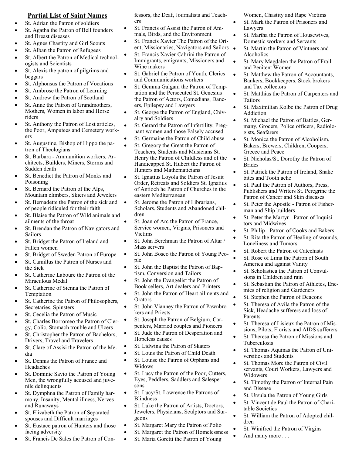## **Partial List of Saint Names**

- St. Adrian the Patron of soldiers
- St. Agatha the Patron of Bell founders and Breast diseases
- St. Agnes Chastity and Girl Scouts
- St. Alban the Patron of Refugees
- St. Albert the Patron of Medical technologists and Scientists
- St. Alexis the patron of pilgrims and beggars
- St. Alphonsus the Patron of Vocations
- St. Ambrose the Patron of Learning
- St. Andrew the Patron of Scotland
- St. Anne the Patron of Grandmothers, Mothers, Women in labor and Horse riders
- St. Anthony the Patron of Lost articles, the Poor, Amputees and Cemetery workers
- St. Augustine, Bishop of Hippo the patron of Theologians
- St. Barbara Ammunition workers, Architects, Builders, Miners, Storms and Sudden death
- St. Benedict the Patron of Monks and Poisoning
- St. Bernard the Patron of the Alps, Mountain climbers, Skiers and Jewelers
- St. Bernadette the Patron of the sick and of people ridiculed for their faith
- St. Blaise the Patron of Wild animals and ailments of the throat
- St. Brendan the Patron of Navigators and Sailors
- St. Bridget the Patron of Ireland and Fallen women
- St. Bridget of Sweden Patron of Europe
- St. Camillus the Patron of Nurses and the Sick
- St. Catherine Laboure the Patron of the Miraculous Medal
- St. Catherine of Sienna the Patron of Temptation
- St. Catherine the Patron of Philosophers, Secretaries, Spinsters
- St. Cecelia the Patron of Music
- St. Charles Borromeo the Patron of Clergy, Colic, Stomach trouble and Ulcers
- St. Christopher the Patron of Bachelors, Drivers, Travel and Travelers
- St. Clare of Assisi the Patron of the Media
- St. Dennis the Patron of France and Headaches
- St. Dominic Savio the Patron of Young Men, the wrongfully accused and juvenile delinquents
- St. Dymphna the Patron of Family harmony, Insanity, Mental illness, Nerves and Runaways
- St. Elizabeth the Patron of Separated spouses and Difficult marriages
- St. Eustace patron of Hunters and those facing adversity
- St. Francis De Sales the Patron of Con-

fessors, the Deaf, Journalists and Teachers

- St. Francis of Assisi the Patron of Animals, Birds, and the Environment
- St. Francis Xavier The Patron of the Orient, Missionaries, Navigators and Sailors
- St. Francis Xavier Cabrini the Patron of Immigrants, emigrants, Missioners and Wine makers
- St. Gabriel the Patron of Youth, Clerics and Communications workers
- St. Gemma Galgani the Patron of Temptation and the Persecuted St. Genesius the Patron of Actors, Comedians, Dancers, Epilepsy and Lawyers
- St. George the Patron of England, Chivalry and Soldiers
- St. Gerard the Patron of Infertility, Pregnant women and those Falsely accused
- St. Germaine the Patron of Child abuse
- St. Gregory the Great the Patron of Teachers, Students and Musicians St. Henry the Patron of Childless and of the Handicapped St. Hubert the Patron of Hunters and Mathematicians
- St. Ignatius Loyola the Patron of Jesuit Order, Retreats and Soldiers St. Ignatius of Antioch he Patron of Churches in the eastern Mediterranean
- St. Jerome the Patron of Librarians, Scholars, Students and Abandoned children
- St. Joan of Arc the Patron of France, Service women, Virgins, Prisoners and Victims
- St. John Berchman the Patron of Altar / Mass servers
- St. John Bosco the Patron of Young People
- St. John the Baptist the Patron of Baptism, Conversion and Tailors
- St. John the Evangelist the Patron of Book sellers, Art dealers and Printers
- St. John the Patron of Heart ailments and Orators
- St. John Vianney the Patron of Pawnbrokers and Priests
- St. Joseph the Patron of Belgium, Carpenters, Married couples and Pioneers
- St. Jude the Patron of Desperation and Hopeless causes
- St. Lidwina the Patron of Skaters
- St. Louis the Patron of Child Death
- St. Louise the Patron of Orphans and Widows
- St. Lucy the Patron of the Poor, Cutters, Eyes, Peddlers, Saddlers and Salespersons
- St. Lucy/St. Lawrence the Patrons of **Blindness**
- St. Luke the Patron of Artists, Doctors, Jewelers, Physicians, Sculptors and Surgeons
- St. Margaret Mary the Patron of Polio
- St. Margaret the Patron of Homelessness
- St. Maria Goretti the Patron of Young

Women, Chastity and Rape Victims

- St. Mark the Patron of Prisoners and Lawyers
- St. Martha the Patron of Housewives, Domestic workers and Servants
- St. Martin the Patron of Vintners and Alcoholics
- St. Mary Magdalen the Patron of Frail and Penitent Women
- St. Matthew the Patron of Accountants, Bankers, Bookkeepers, Stock brokers and Tax collectors
- St. Matthias the Patron of Carpenters and Tailors
- St. Maximilian Kolbe the Patron of Drug Addiction
- St. Michael the Patron of Battles, Germany, Grocers, Police officers, Radiologists, Seafarers
- St. Monica the Patron of Alcoholism, Bakers, Brewers, Children, Coopers, Greece and Peace
- St. Nicholas/St. Dorothy the Patron of Brides
- St. Patrick the Patron of Ireland, Snake bites and Tooth ache
- St. Paul the Patron of Authors, Press, Publishers and Writers St. Peregrine the Patron of Cancer and Skin diseases
- St. Peter the Apostle Patron of Fisherman and Ship builders
- St. Peter the Martyr Patron of Inquisitors and Midwives
- St. Philip Patron of Cooks and Bakers
- St. Rita the Patron of Healing of wounds, Loneliness and Tumors
- St. Robert the Patron of Catechists
- St. Rose of Lima the Patron of South America and against Vanity
- St. Scholastica the Patron of Convulsions in Children and rain
- St. Sebastian the Patron of Athletes, Enemies of religion and Gardeners
- St. Stephen the Patron of Deacons
- St. Theresa of Avila the Patron of the Sick, Headache sufferers and loss of Parents
- St. Theresa of Lisieux the Patron of Missions, Pilots, Florists and AIDS sufferers
- St. Theresa the Patron of Missions and Tuberculosis
- St. Thomas Aquinas the Patron of Universities and Students
- St. Thomas More the Patron of Civil servants, Court Workers, Lawyers and Widowers
- St. Timothy the Patron of Internal Pain and Disease
- St. Ursula the Patron of Young Girls
- St. Vincent de Paul the Patron of Charitable Societies
- St. William the Patron of Adopted children
- St. Winifred the Patron of Virgins
- And many more . . .